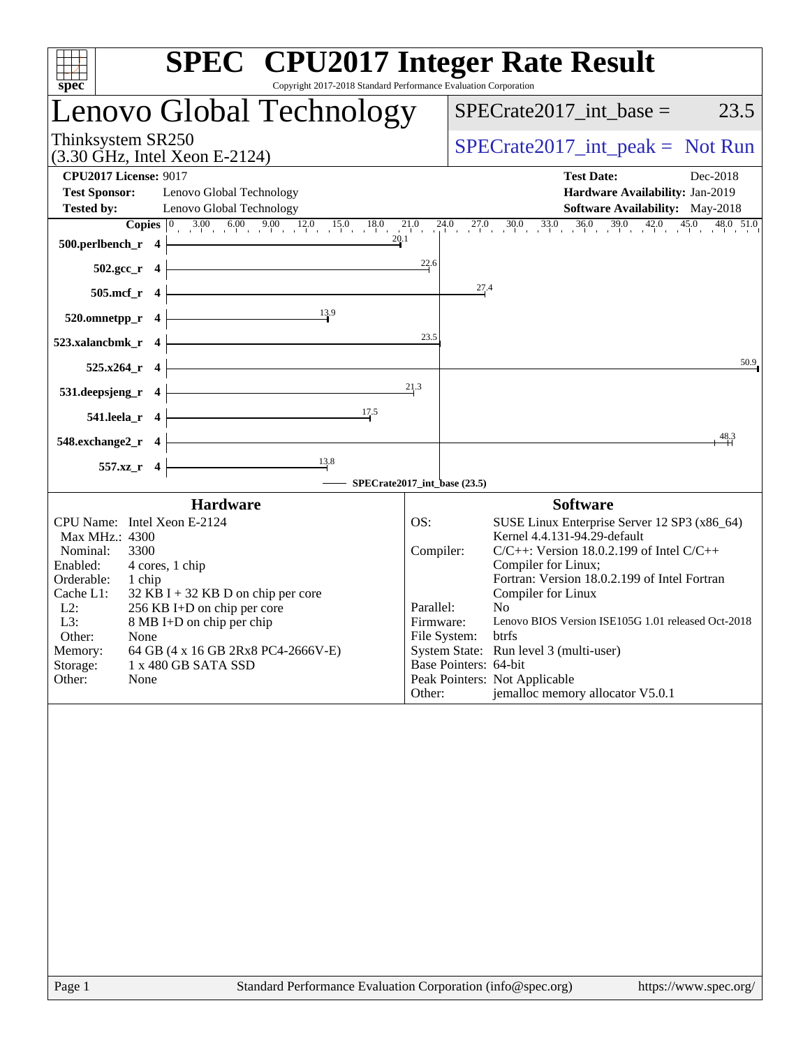| Copyright 2017-2018 Standard Performance Evaluation Corporation<br>spec                                                                                                                                                                                                                                                                                                                               | <b>SPEC<sup>®</sup></b> CPU2017 Integer Rate Result                                                                                                                                                                                                                                                                                                                                                                                                                                                                                            |
|-------------------------------------------------------------------------------------------------------------------------------------------------------------------------------------------------------------------------------------------------------------------------------------------------------------------------------------------------------------------------------------------------------|------------------------------------------------------------------------------------------------------------------------------------------------------------------------------------------------------------------------------------------------------------------------------------------------------------------------------------------------------------------------------------------------------------------------------------------------------------------------------------------------------------------------------------------------|
| Lenovo Global Technology                                                                                                                                                                                                                                                                                                                                                                              | 23.5<br>$SPECrate2017\_int\_base =$                                                                                                                                                                                                                                                                                                                                                                                                                                                                                                            |
| Thinksystem SR250<br>(3.30 GHz, Intel Xeon E-2124)                                                                                                                                                                                                                                                                                                                                                    | $SPECrate2017\_int\_peak = Not Run$                                                                                                                                                                                                                                                                                                                                                                                                                                                                                                            |
| <b>CPU2017 License: 9017</b><br><b>Test Sponsor:</b><br>Lenovo Global Technology<br><b>Tested by:</b><br>Lenovo Global Technology                                                                                                                                                                                                                                                                     | <b>Test Date:</b><br>Dec-2018<br>Hardware Availability: Jan-2019<br><b>Software Availability:</b> May-2018                                                                                                                                                                                                                                                                                                                                                                                                                                     |
| 20.1<br>500.perlbench_r 4<br>$502.\text{gcc}_r$ 4                                                                                                                                                                                                                                                                                                                                                     | <b>Copies</b> $\begin{bmatrix} 0 & 3.00 & 6.00 & 9.00 & 12.0 & 15.0 & 18.0 & 21.0 & 24.0 & 27.0 & 30.0 & 33.0 & 36.0 & 39.0 & 42.0 & 45.0 \end{bmatrix}$<br>48.0 51.0<br>$\frac{22.6}{4}$                                                                                                                                                                                                                                                                                                                                                      |
| 505.mcf_r 4<br>13.9                                                                                                                                                                                                                                                                                                                                                                                   | 27.4                                                                                                                                                                                                                                                                                                                                                                                                                                                                                                                                           |
| 520.omnetpp_r 4<br>523.xalancbmk r 4                                                                                                                                                                                                                                                                                                                                                                  | 23.5                                                                                                                                                                                                                                                                                                                                                                                                                                                                                                                                           |
| $525.x264$ r 4                                                                                                                                                                                                                                                                                                                                                                                        | 50.9<br>21.3                                                                                                                                                                                                                                                                                                                                                                                                                                                                                                                                   |
| 531.deepsjeng_r<br>$\overline{4}$<br>17.5<br>541.leela_r 4                                                                                                                                                                                                                                                                                                                                            |                                                                                                                                                                                                                                                                                                                                                                                                                                                                                                                                                |
| 548.exchange2_r 4                                                                                                                                                                                                                                                                                                                                                                                     | 48.3                                                                                                                                                                                                                                                                                                                                                                                                                                                                                                                                           |
| $\frac{13.8}{ }$<br>557.xz_r 4                                                                                                                                                                                                                                                                                                                                                                        | SPECrate2017_int_base (23.5)                                                                                                                                                                                                                                                                                                                                                                                                                                                                                                                   |
| <b>Hardware</b><br>CPU Name: Intel Xeon E-2124<br>Max MHz.: 4300<br>Nominal:<br>3300<br>Enabled:<br>4 cores, 1 chip<br>Orderable:<br>1 chip<br>Cache L1:<br>$32$ KB I + 32 KB D on chip per core<br>$L2$ :<br>256 KB I+D on chip per core<br>L3:<br>8 MB I+D on chip per chip<br>Other:<br>None<br>Memory:<br>64 GB (4 x 16 GB 2Rx8 PC4-2666V-E)<br>Storage:<br>1 x 480 GB SATA SSD<br>Other:<br>None | <b>Software</b><br>SUSE Linux Enterprise Server 12 SP3 (x86_64)<br>OS:<br>Kernel 4.4.131-94.29-default<br>$C/C++$ : Version 18.0.2.199 of Intel $C/C++$<br>Compiler:<br>Compiler for Linux;<br>Fortran: Version 18.0.2.199 of Intel Fortran<br>Compiler for Linux<br>Parallel:<br>N <sub>0</sub><br>Lenovo BIOS Version ISE105G 1.01 released Oct-2018<br>Firmware:<br>File System:<br>btrfs<br>System State: Run level 3 (multi-user)<br>Base Pointers: 64-bit<br>Peak Pointers: Not Applicable<br>jemalloc memory allocator V5.0.1<br>Other: |
|                                                                                                                                                                                                                                                                                                                                                                                                       |                                                                                                                                                                                                                                                                                                                                                                                                                                                                                                                                                |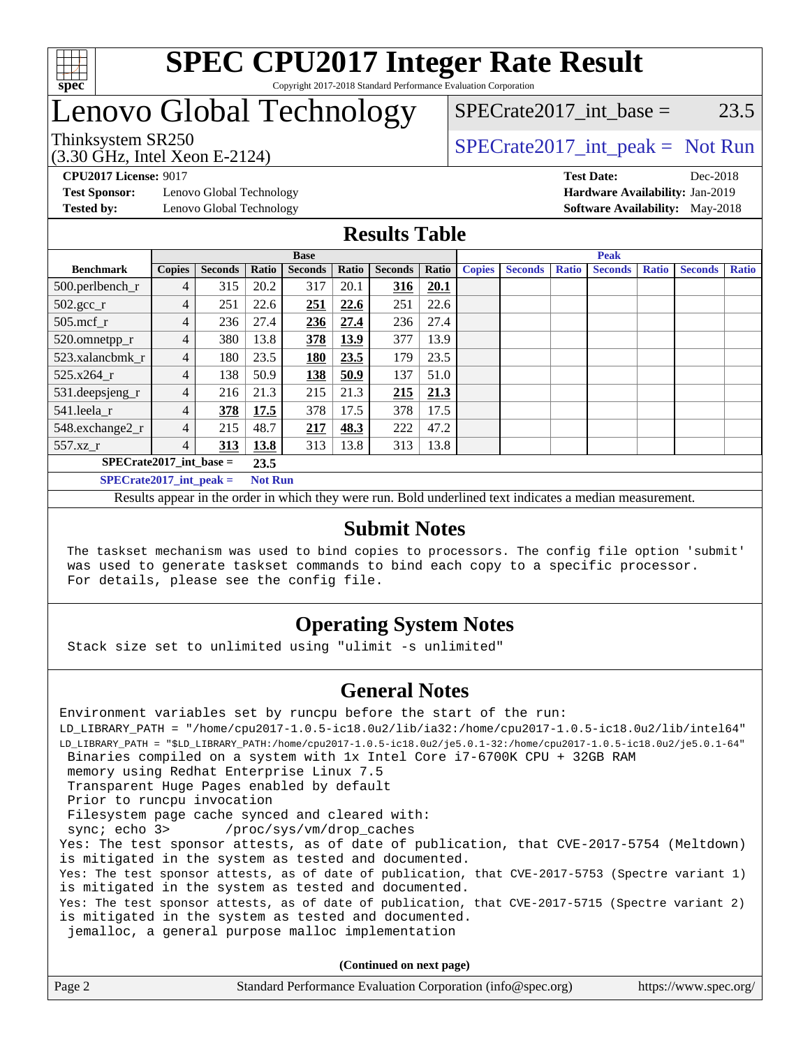

# **[SPEC CPU2017 Integer Rate Result](http://www.spec.org/auto/cpu2017/Docs/result-fields.html#SPECCPU2017IntegerRateResult)**

Copyright 2017-2018 Standard Performance Evaluation Corporation

### Lenovo Global Technology

## $SPECrate2017\_int\_base = 23.5$

(3.30 GHz, Intel Xeon E-2124)

Thinksystem SR250<br>  $SPECTU<sub>2</sub>20 CI<sub>2</sub> Intel Y<sub>0</sub> = 2124$ 

**[Test Sponsor:](http://www.spec.org/auto/cpu2017/Docs/result-fields.html#TestSponsor)** Lenovo Global Technology **[Hardware Availability:](http://www.spec.org/auto/cpu2017/Docs/result-fields.html#HardwareAvailability)** Jan-2019 **[Tested by:](http://www.spec.org/auto/cpu2017/Docs/result-fields.html#Testedby)** Lenovo Global Technology **[Software Availability:](http://www.spec.org/auto/cpu2017/Docs/result-fields.html#SoftwareAvailability)** May-2018

**[CPU2017 License:](http://www.spec.org/auto/cpu2017/Docs/result-fields.html#CPU2017License)** 9017 **[Test Date:](http://www.spec.org/auto/cpu2017/Docs/result-fields.html#TestDate)** Dec-2018

### **[Results Table](http://www.spec.org/auto/cpu2017/Docs/result-fields.html#ResultsTable)**

|                                   | <b>Base</b>    |                |                |                |       | <b>Peak</b>    |       |               |                |              |                |              |                |       |
|-----------------------------------|----------------|----------------|----------------|----------------|-------|----------------|-------|---------------|----------------|--------------|----------------|--------------|----------------|-------|
| <b>Benchmark</b>                  | <b>Copies</b>  | <b>Seconds</b> | Ratio          | <b>Seconds</b> | Ratio | <b>Seconds</b> | Ratio | <b>Copies</b> | <b>Seconds</b> | <b>Ratio</b> | <b>Seconds</b> | <b>Ratio</b> | <b>Seconds</b> | Ratio |
| 500.perlbench_r                   | 4              | 315            | 20.2           | 317            | 20.1  | 316            | 20.1  |               |                |              |                |              |                |       |
| $502.\text{sec}$                  | $\overline{4}$ | 251            | 22.6           | 251            | 22.6  | 251            | 22.6  |               |                |              |                |              |                |       |
| 505.mcf r                         | 4              | 236            | 27.4           | 236            | 27.4  | 236            | 27.4  |               |                |              |                |              |                |       |
| 520.omnetpp_r                     | $\overline{4}$ | 380            | 13.8           | 378            | 13.9  | 377            | 13.9  |               |                |              |                |              |                |       |
| 523.xalancbmk r                   | 4              | 180            | 23.5           | 180            | 23.5  | 179            | 23.5  |               |                |              |                |              |                |       |
| 525.x264 r                        | $\overline{4}$ | 138            | 50.9           | 138            | 50.9  | 137            | 51.0  |               |                |              |                |              |                |       |
| 531.deepsjeng_r                   | 4              | 216            | 21.3           | 215            | 21.3  | 215            | 21.3  |               |                |              |                |              |                |       |
| 541.leela r                       | 4              | 378            | 17.5           | 378            | 17.5  | 378            | 17.5  |               |                |              |                |              |                |       |
| 548.exchange2_r                   | 4              | 215            | 48.7           | 217            | 48.3  | 222            | 47.2  |               |                |              |                |              |                |       |
| 557.xz r                          | 4              | 313            | 13.8           | 313            | 13.8  | 313            | 13.8  |               |                |              |                |              |                |       |
| $SPECrate2017$ int base =<br>23.5 |                |                |                |                |       |                |       |               |                |              |                |              |                |       |
| $SPECrate2017\_int\_peak =$       |                |                | <b>Not Run</b> |                |       |                |       |               |                |              |                |              |                |       |

Results appear in the [order in which they were run](http://www.spec.org/auto/cpu2017/Docs/result-fields.html#RunOrder). Bold underlined text [indicates a median measurement](http://www.spec.org/auto/cpu2017/Docs/result-fields.html#Median).

#### **[Submit Notes](http://www.spec.org/auto/cpu2017/Docs/result-fields.html#SubmitNotes)**

 The taskset mechanism was used to bind copies to processors. The config file option 'submit' was used to generate taskset commands to bind each copy to a specific processor. For details, please see the config file.

### **[Operating System Notes](http://www.spec.org/auto/cpu2017/Docs/result-fields.html#OperatingSystemNotes)**

Stack size set to unlimited using "ulimit -s unlimited"

### **[General Notes](http://www.spec.org/auto/cpu2017/Docs/result-fields.html#GeneralNotes)**

Environment variables set by runcpu before the start of the run: LD\_LIBRARY\_PATH = "/home/cpu2017-1.0.5-ic18.0u2/lib/ia32:/home/cpu2017-1.0.5-ic18.0u2/lib/intel64" LD\_LIBRARY\_PATH = "\$LD\_LIBRARY\_PATH:/home/cpu2017-1.0.5-ic18.0u2/je5.0.1-32:/home/cpu2017-1.0.5-ic18.0u2/je5.0.1-64" Binaries compiled on a system with 1x Intel Core i7-6700K CPU + 32GB RAM memory using Redhat Enterprise Linux 7.5 Transparent Huge Pages enabled by default Prior to runcpu invocation Filesystem page cache synced and cleared with: sync; echo 3> /proc/sys/vm/drop\_caches Yes: The test sponsor attests, as of date of publication, that CVE-2017-5754 (Meltdown) is mitigated in the system as tested and documented. Yes: The test sponsor attests, as of date of publication, that CVE-2017-5753 (Spectre variant 1) is mitigated in the system as tested and documented. Yes: The test sponsor attests, as of date of publication, that CVE-2017-5715 (Spectre variant 2) is mitigated in the system as tested and documented. jemalloc, a general purpose malloc implementation

**(Continued on next page)**

| Page 2 | Standard Performance Evaluation Corporation (info@spec.org) | https://www.spec.org/ |
|--------|-------------------------------------------------------------|-----------------------|
|--------|-------------------------------------------------------------|-----------------------|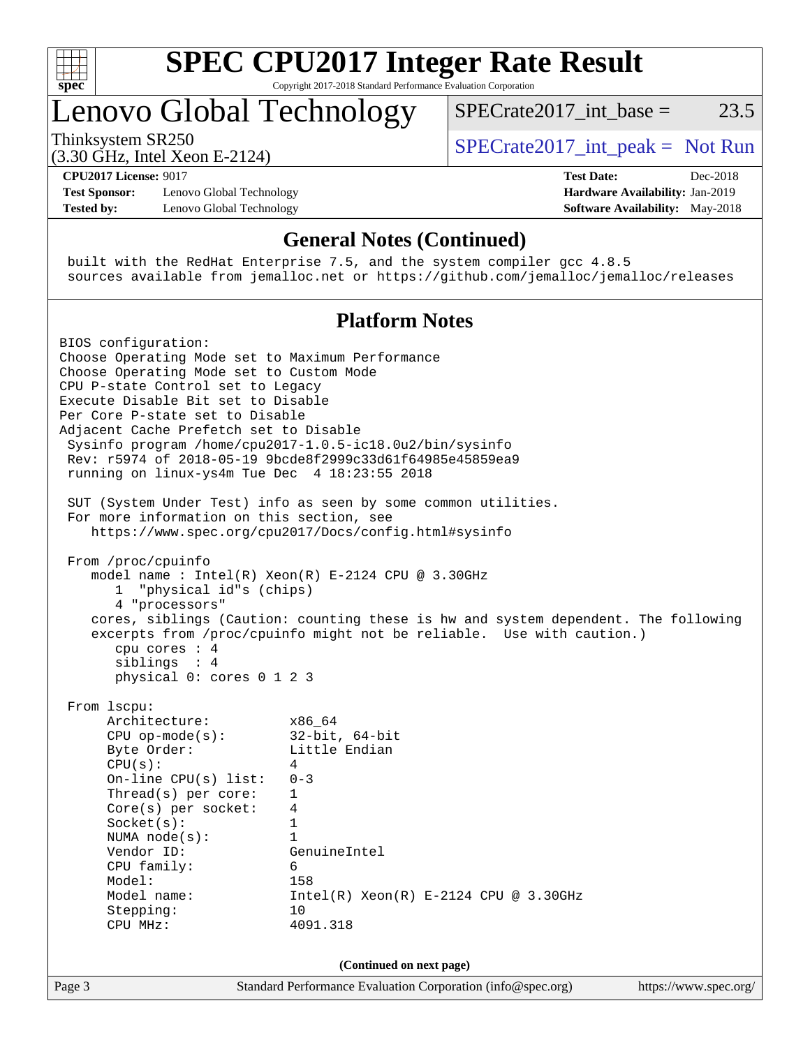

# **[SPEC CPU2017 Integer Rate Result](http://www.spec.org/auto/cpu2017/Docs/result-fields.html#SPECCPU2017IntegerRateResult)**

Copyright 2017-2018 Standard Performance Evaluation Corporation

### Lenovo Global Technology

Thinksystem SR250  $SPECrate2017$ \_int\_peak = Not Run

SPECrate  $2017$  int base = 23.5

(3.30 GHz, Intel Xeon E-2124) **[CPU2017 License:](http://www.spec.org/auto/cpu2017/Docs/result-fields.html#CPU2017License)** 9017 **[Test Date:](http://www.spec.org/auto/cpu2017/Docs/result-fields.html#TestDate)** Dec-2018

**[Test Sponsor:](http://www.spec.org/auto/cpu2017/Docs/result-fields.html#TestSponsor)** Lenovo Global Technology **[Hardware Availability:](http://www.spec.org/auto/cpu2017/Docs/result-fields.html#HardwareAvailability)** Jan-2019 **[Tested by:](http://www.spec.org/auto/cpu2017/Docs/result-fields.html#Testedby)** Lenovo Global Technology **[Software Availability:](http://www.spec.org/auto/cpu2017/Docs/result-fields.html#SoftwareAvailability)** May-2018

#### **[General Notes \(Continued\)](http://www.spec.org/auto/cpu2017/Docs/result-fields.html#GeneralNotes)**

 built with the RedHat Enterprise 7.5, and the system compiler gcc 4.8.5 sources available from jemalloc.net or <https://github.com/jemalloc/jemalloc/releases>

#### **[Platform Notes](http://www.spec.org/auto/cpu2017/Docs/result-fields.html#PlatformNotes)**

Page 3 Standard Performance Evaluation Corporation [\(info@spec.org\)](mailto:info@spec.org) <https://www.spec.org/> BIOS configuration: Choose Operating Mode set to Maximum Performance Choose Operating Mode set to Custom Mode CPU P-state Control set to Legacy Execute Disable Bit set to Disable Per Core P-state set to Disable Adjacent Cache Prefetch set to Disable Sysinfo program /home/cpu2017-1.0.5-ic18.0u2/bin/sysinfo Rev: r5974 of 2018-05-19 9bcde8f2999c33d61f64985e45859ea9 running on linux-ys4m Tue Dec 4 18:23:55 2018 SUT (System Under Test) info as seen by some common utilities. For more information on this section, see <https://www.spec.org/cpu2017/Docs/config.html#sysinfo> From /proc/cpuinfo model name : Intel(R) Xeon(R) E-2124 CPU @ 3.30GHz 1 "physical id"s (chips) 4 "processors" cores, siblings (Caution: counting these is hw and system dependent. The following excerpts from /proc/cpuinfo might not be reliable. Use with caution.) cpu cores : 4 siblings : 4 physical 0: cores 0 1 2 3 From lscpu: Architecture: x86\_64 CPU op-mode(s): 32-bit, 64-bit Byte Order: Little Endian  $CPU(s):$  4 On-line CPU(s) list: 0-3 Thread(s) per core: 1 Core(s) per socket: 4 Socket(s): 1 NUMA node(s): 1 Vendor ID: GenuineIntel CPU family: 6 Model: 158 Model name: Intel(R) Xeon(R) E-2124 CPU @ 3.30GHz Stepping: 10 CPU MHz: 4091.318 **(Continued on next page)**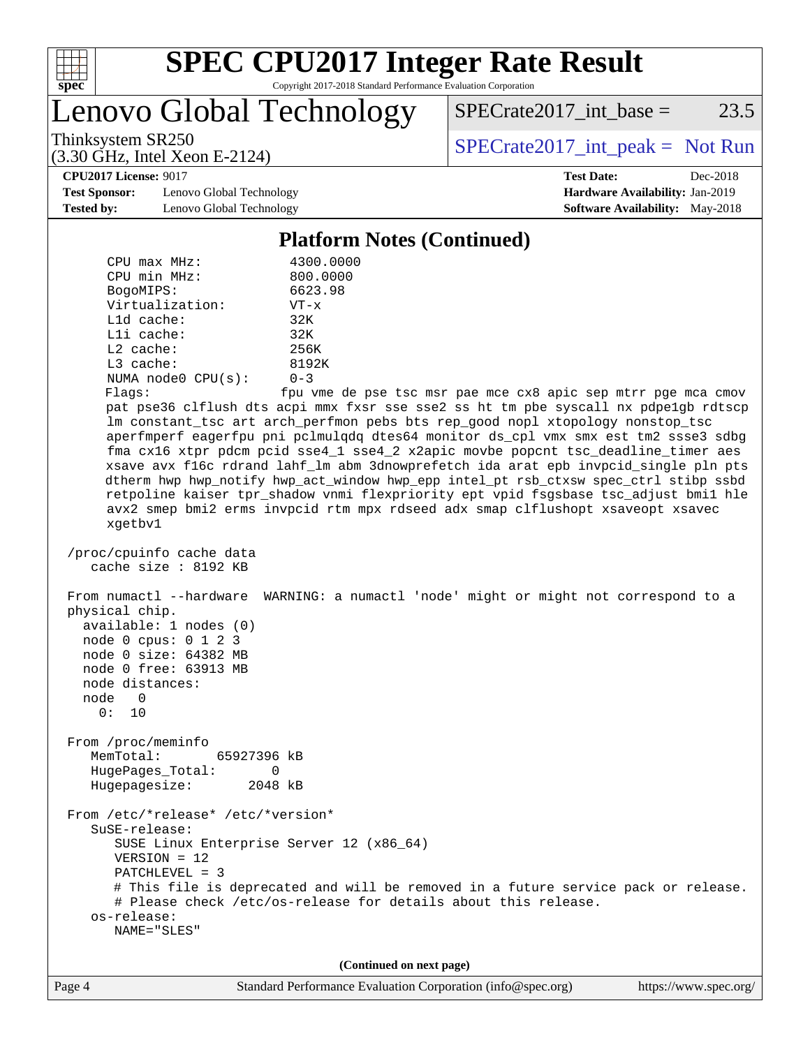

Lenovo Global Technology

 $SPECTate2017\_int\_base = 23.5$ 

(3.30 GHz, Intel Xeon E-2124)

Thinksystem SR250<br>  $(3.30 \text{ GHz} \text{ Intel } \text{Yoon } E \text{ } 2124)$  [SPECrate2017\\_int\\_peak =](http://www.spec.org/auto/cpu2017/Docs/result-fields.html#SPECrate2017intpeak) Not Run

**[Test Sponsor:](http://www.spec.org/auto/cpu2017/Docs/result-fields.html#TestSponsor)** Lenovo Global Technology **[Hardware Availability:](http://www.spec.org/auto/cpu2017/Docs/result-fields.html#HardwareAvailability)** Jan-2019 **[Tested by:](http://www.spec.org/auto/cpu2017/Docs/result-fields.html#Testedby)** Lenovo Global Technology **[Software Availability:](http://www.spec.org/auto/cpu2017/Docs/result-fields.html#SoftwareAvailability)** May-2018

**[CPU2017 License:](http://www.spec.org/auto/cpu2017/Docs/result-fields.html#CPU2017License)** 9017 **[Test Date:](http://www.spec.org/auto/cpu2017/Docs/result-fields.html#TestDate)** Dec-2018

#### **[Platform Notes \(Continued\)](http://www.spec.org/auto/cpu2017/Docs/result-fields.html#PlatformNotes)**

| $CPU$ $max$ $MHz$ :<br>CPU min MHz:<br>BogoMIPS:<br>Virtualization:<br>L1d cache:<br>Lli cache:<br>$L2$ cache:<br>L3 cache:<br>NUMA $node0$ $CPU(s)$ :<br>Flags: | 4300.0000<br>800.0000<br>6623.98<br>$VT - x$<br>32K<br>32K<br>256K<br>8192K<br>$0 - 3$<br>fpu vme de pse tsc msr pae mce cx8 apic sep mtrr pge mca cmov<br>pat pse36 clflush dts acpi mmx fxsr sse sse2 ss ht tm pbe syscall nx pdpelgb rdtscp<br>lm constant_tsc art arch_perfmon pebs bts rep_good nopl xtopology nonstop_tsc<br>aperfmperf eagerfpu pni pclmulqdq dtes64 monitor ds_cpl vmx smx est tm2 ssse3 sdbg<br>fma cx16 xtpr pdcm pcid sse4_1 sse4_2 x2apic movbe popcnt tsc_deadline_timer aes<br>xsave avx f16c rdrand lahf_lm abm 3dnowprefetch ida arat epb invpcid_single pln pts |
|------------------------------------------------------------------------------------------------------------------------------------------------------------------|--------------------------------------------------------------------------------------------------------------------------------------------------------------------------------------------------------------------------------------------------------------------------------------------------------------------------------------------------------------------------------------------------------------------------------------------------------------------------------------------------------------------------------------------------------------------------------------------------|
| xgetbv1                                                                                                                                                          | dtherm hwp hwp_notify hwp_act_window hwp_epp intel_pt rsb_ctxsw spec_ctrl stibp ssbd<br>retpoline kaiser tpr_shadow vnmi flexpriority ept vpid fsgsbase tsc_adjust bmil hle<br>avx2 smep bmi2 erms invpcid rtm mpx rdseed adx smap clflushopt xsaveopt xsavec                                                                                                                                                                                                                                                                                                                                    |
| /proc/cpuinfo cache data<br>cache size : 8192 KB                                                                                                                 |                                                                                                                                                                                                                                                                                                                                                                                                                                                                                                                                                                                                  |
| physical chip.<br>available: 1 nodes (0)<br>node 0 cpus: 0 1 2 3<br>node 0 size: 64382 MB<br>node 0 free: 63913 MB<br>node distances:<br>node 0<br>0: 10         | From numactl --hardware WARNING: a numactl 'node' might or might not correspond to a                                                                                                                                                                                                                                                                                                                                                                                                                                                                                                             |
| From /proc/meminfo<br>MemTotal:<br>65927396 kB                                                                                                                   |                                                                                                                                                                                                                                                                                                                                                                                                                                                                                                                                                                                                  |
| HugePages_Total: 0<br>Hugepagesize: 2048 kB                                                                                                                      |                                                                                                                                                                                                                                                                                                                                                                                                                                                                                                                                                                                                  |
| From /etc/*release* /etc/*version*<br>SuSE-release:<br>$VERSION = 12$<br>$PATCHLEVEL = 3$                                                                        | SUSE Linux Enterprise Server 12 (x86_64)<br># This file is deprecated and will be removed in a future service pack or release.<br># Please check /etc/os-release for details about this release.                                                                                                                                                                                                                                                                                                                                                                                                 |
| os-release:<br>NAME="SLES"                                                                                                                                       |                                                                                                                                                                                                                                                                                                                                                                                                                                                                                                                                                                                                  |
|                                                                                                                                                                  | (Continued on next page)                                                                                                                                                                                                                                                                                                                                                                                                                                                                                                                                                                         |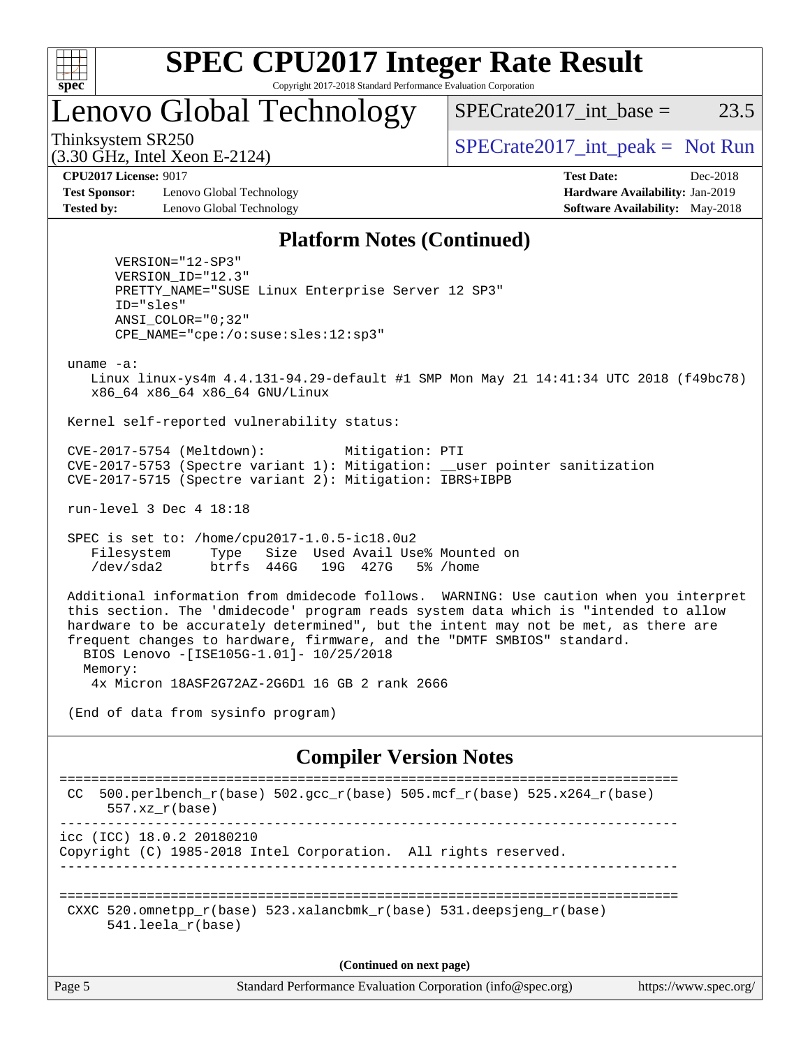

### Lenovo Global Technology

 $SPECTate2017\_int\_base = 23.5$ 

(3.30 GHz, Intel Xeon E-2124)

Thinksystem SR250<br>  $SPECTU<sub>2</sub>20 CI<sub>2</sub> Intel Y<sub>0</sub> = 2124$ 

**[Test Sponsor:](http://www.spec.org/auto/cpu2017/Docs/result-fields.html#TestSponsor)** Lenovo Global Technology **[Hardware Availability:](http://www.spec.org/auto/cpu2017/Docs/result-fields.html#HardwareAvailability)** Jan-2019 **[Tested by:](http://www.spec.org/auto/cpu2017/Docs/result-fields.html#Testedby)** Lenovo Global Technology **[Software Availability:](http://www.spec.org/auto/cpu2017/Docs/result-fields.html#SoftwareAvailability)** May-2018

**[CPU2017 License:](http://www.spec.org/auto/cpu2017/Docs/result-fields.html#CPU2017License)** 9017 **[Test Date:](http://www.spec.org/auto/cpu2017/Docs/result-fields.html#TestDate)** Dec-2018

#### **[Platform Notes \(Continued\)](http://www.spec.org/auto/cpu2017/Docs/result-fields.html#PlatformNotes)**

 VERSION="12-SP3" VERSION\_ID="12.3" PRETTY\_NAME="SUSE Linux Enterprise Server 12 SP3" ID="sles" ANSI\_COLOR="0;32" CPE\_NAME="cpe:/o:suse:sles:12:sp3"

uname -a:

 Linux linux-ys4m 4.4.131-94.29-default #1 SMP Mon May 21 14:41:34 UTC 2018 (f49bc78) x86\_64 x86\_64 x86\_64 GNU/Linux

Kernel self-reported vulnerability status:

 CVE-2017-5754 (Meltdown): Mitigation: PTI CVE-2017-5753 (Spectre variant 1): Mitigation: \_\_user pointer sanitization CVE-2017-5715 (Spectre variant 2): Mitigation: IBRS+IBPB

run-level 3 Dec 4 18:18

 SPEC is set to: /home/cpu2017-1.0.5-ic18.0u2 Filesystem Type Size Used Avail Use% Mounted on /dev/sda2 btrfs 446G 19G 427G 5% /home

 Additional information from dmidecode follows. WARNING: Use caution when you interpret this section. The 'dmidecode' program reads system data which is "intended to allow hardware to be accurately determined", but the intent may not be met, as there are frequent changes to hardware, firmware, and the "DMTF SMBIOS" standard. BIOS Lenovo -[ISE105G-1.01]- 10/25/2018 Memory:

4x Micron 18ASF2G72AZ-2G6D1 16 GB 2 rank 2666

(End of data from sysinfo program)

#### **[Compiler Version Notes](http://www.spec.org/auto/cpu2017/Docs/result-fields.html#CompilerVersionNotes)**

```
==============================================================================
 CC 500.perlbench_r(base) 502.gcc_r(base) 505.mcf_r(base) 525.x264_r(base)
      557.xz_r(base)
       ------------------------------------------------------------------------------
icc (ICC) 18.0.2 20180210
Copyright (C) 1985-2018 Intel Corporation. All rights reserved.
------------------------------------------------------------------------------
==============================================================================
 CXXC 520.omnetpp_r(base) 523.xalancbmk_r(base) 531.deepsjeng_r(base)
       541.leela_r(base)
```
**(Continued on next page)**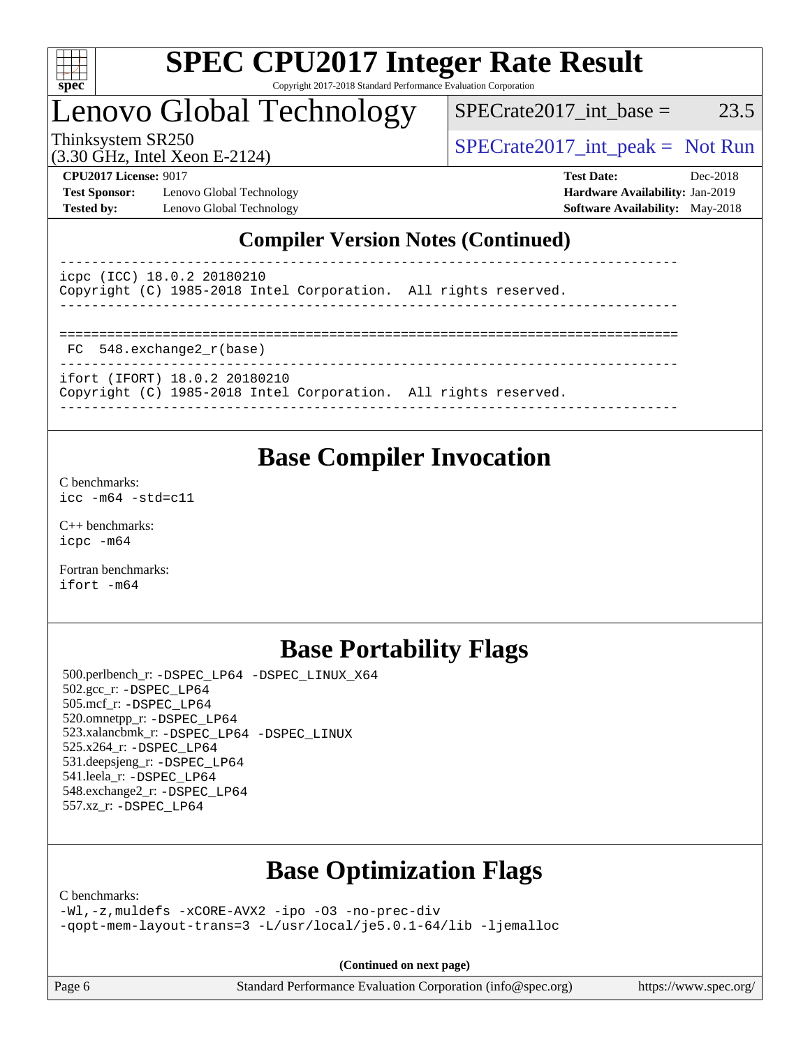

### Lenovo Global Technology

 $SPECTate2017\_int\_base = 23.5$ 

(3.30 GHz, Intel Xeon E-2124)

Thinksystem SR250  $SPECrate2017$ \_int\_peak = Not Run

**[Test Sponsor:](http://www.spec.org/auto/cpu2017/Docs/result-fields.html#TestSponsor)** Lenovo Global Technology **[Hardware Availability:](http://www.spec.org/auto/cpu2017/Docs/result-fields.html#HardwareAvailability)** Jan-2019 **[Tested by:](http://www.spec.org/auto/cpu2017/Docs/result-fields.html#Testedby)** Lenovo Global Technology **[Software Availability:](http://www.spec.org/auto/cpu2017/Docs/result-fields.html#SoftwareAvailability)** May-2018

**[CPU2017 License:](http://www.spec.org/auto/cpu2017/Docs/result-fields.html#CPU2017License)** 9017 **[Test Date:](http://www.spec.org/auto/cpu2017/Docs/result-fields.html#TestDate)** Dec-2018

### **[Compiler Version Notes \(Continued\)](http://www.spec.org/auto/cpu2017/Docs/result-fields.html#CompilerVersionNotes)**

| icpc (ICC) 18.0.2 20180210<br>Copyright (C) 1985-2018 Intel Corporation. All rights reserved.    |  |
|--------------------------------------------------------------------------------------------------|--|
|                                                                                                  |  |
| FC 548.exchange2 r(base)                                                                         |  |
| ifort (IFORT) 18.0.2 20180210<br>Copyright (C) 1985-2018 Intel Corporation. All rights reserved. |  |

------------------------------------------------------------------------------

### **[Base Compiler Invocation](http://www.spec.org/auto/cpu2017/Docs/result-fields.html#BaseCompilerInvocation)**

[C benchmarks](http://www.spec.org/auto/cpu2017/Docs/result-fields.html#Cbenchmarks): [icc -m64 -std=c11](http://www.spec.org/cpu2017/results/res2018q4/cpu2017-20181210-10112.flags.html#user_CCbase_intel_icc_64bit_c11_33ee0cdaae7deeeab2a9725423ba97205ce30f63b9926c2519791662299b76a0318f32ddfffdc46587804de3178b4f9328c46fa7c2b0cd779d7a61945c91cd35)

[C++ benchmarks:](http://www.spec.org/auto/cpu2017/Docs/result-fields.html#CXXbenchmarks) [icpc -m64](http://www.spec.org/cpu2017/results/res2018q4/cpu2017-20181210-10112.flags.html#user_CXXbase_intel_icpc_64bit_4ecb2543ae3f1412ef961e0650ca070fec7b7afdcd6ed48761b84423119d1bf6bdf5cad15b44d48e7256388bc77273b966e5eb805aefd121eb22e9299b2ec9d9)

[Fortran benchmarks](http://www.spec.org/auto/cpu2017/Docs/result-fields.html#Fortranbenchmarks): [ifort -m64](http://www.spec.org/cpu2017/results/res2018q4/cpu2017-20181210-10112.flags.html#user_FCbase_intel_ifort_64bit_24f2bb282fbaeffd6157abe4f878425411749daecae9a33200eee2bee2fe76f3b89351d69a8130dd5949958ce389cf37ff59a95e7a40d588e8d3a57e0c3fd751)

### **[Base Portability Flags](http://www.spec.org/auto/cpu2017/Docs/result-fields.html#BasePortabilityFlags)**

 500.perlbench\_r: [-DSPEC\\_LP64](http://www.spec.org/cpu2017/results/res2018q4/cpu2017-20181210-10112.flags.html#b500.perlbench_r_basePORTABILITY_DSPEC_LP64) [-DSPEC\\_LINUX\\_X64](http://www.spec.org/cpu2017/results/res2018q4/cpu2017-20181210-10112.flags.html#b500.perlbench_r_baseCPORTABILITY_DSPEC_LINUX_X64) 502.gcc\_r: [-DSPEC\\_LP64](http://www.spec.org/cpu2017/results/res2018q4/cpu2017-20181210-10112.flags.html#suite_basePORTABILITY502_gcc_r_DSPEC_LP64) 505.mcf\_r: [-DSPEC\\_LP64](http://www.spec.org/cpu2017/results/res2018q4/cpu2017-20181210-10112.flags.html#suite_basePORTABILITY505_mcf_r_DSPEC_LP64) 520.omnetpp\_r: [-DSPEC\\_LP64](http://www.spec.org/cpu2017/results/res2018q4/cpu2017-20181210-10112.flags.html#suite_basePORTABILITY520_omnetpp_r_DSPEC_LP64) 523.xalancbmk\_r: [-DSPEC\\_LP64](http://www.spec.org/cpu2017/results/res2018q4/cpu2017-20181210-10112.flags.html#suite_basePORTABILITY523_xalancbmk_r_DSPEC_LP64) [-DSPEC\\_LINUX](http://www.spec.org/cpu2017/results/res2018q4/cpu2017-20181210-10112.flags.html#b523.xalancbmk_r_baseCXXPORTABILITY_DSPEC_LINUX) 525.x264\_r: [-DSPEC\\_LP64](http://www.spec.org/cpu2017/results/res2018q4/cpu2017-20181210-10112.flags.html#suite_basePORTABILITY525_x264_r_DSPEC_LP64) 531.deepsjeng\_r: [-DSPEC\\_LP64](http://www.spec.org/cpu2017/results/res2018q4/cpu2017-20181210-10112.flags.html#suite_basePORTABILITY531_deepsjeng_r_DSPEC_LP64) 541.leela\_r: [-DSPEC\\_LP64](http://www.spec.org/cpu2017/results/res2018q4/cpu2017-20181210-10112.flags.html#suite_basePORTABILITY541_leela_r_DSPEC_LP64) 548.exchange2\_r: [-DSPEC\\_LP64](http://www.spec.org/cpu2017/results/res2018q4/cpu2017-20181210-10112.flags.html#suite_basePORTABILITY548_exchange2_r_DSPEC_LP64) 557.xz\_r: [-DSPEC\\_LP64](http://www.spec.org/cpu2017/results/res2018q4/cpu2017-20181210-10112.flags.html#suite_basePORTABILITY557_xz_r_DSPEC_LP64)

### **[Base Optimization Flags](http://www.spec.org/auto/cpu2017/Docs/result-fields.html#BaseOptimizationFlags)**

[C benchmarks](http://www.spec.org/auto/cpu2017/Docs/result-fields.html#Cbenchmarks):

[-Wl,-z,muldefs](http://www.spec.org/cpu2017/results/res2018q4/cpu2017-20181210-10112.flags.html#user_CCbase_link_force_multiple1_b4cbdb97b34bdee9ceefcfe54f4c8ea74255f0b02a4b23e853cdb0e18eb4525ac79b5a88067c842dd0ee6996c24547a27a4b99331201badda8798ef8a743f577) [-xCORE-AVX2](http://www.spec.org/cpu2017/results/res2018q4/cpu2017-20181210-10112.flags.html#user_CCbase_f-xCORE-AVX2) [-ipo](http://www.spec.org/cpu2017/results/res2018q4/cpu2017-20181210-10112.flags.html#user_CCbase_f-ipo) [-O3](http://www.spec.org/cpu2017/results/res2018q4/cpu2017-20181210-10112.flags.html#user_CCbase_f-O3) [-no-prec-div](http://www.spec.org/cpu2017/results/res2018q4/cpu2017-20181210-10112.flags.html#user_CCbase_f-no-prec-div) [-qopt-mem-layout-trans=3](http://www.spec.org/cpu2017/results/res2018q4/cpu2017-20181210-10112.flags.html#user_CCbase_f-qopt-mem-layout-trans_de80db37974c74b1f0e20d883f0b675c88c3b01e9d123adea9b28688d64333345fb62bc4a798493513fdb68f60282f9a726aa07f478b2f7113531aecce732043) [-L/usr/local/je5.0.1-64/lib](http://www.spec.org/cpu2017/results/res2018q4/cpu2017-20181210-10112.flags.html#user_CCbase_jemalloc_link_path64_4b10a636b7bce113509b17f3bd0d6226c5fb2346b9178c2d0232c14f04ab830f976640479e5c33dc2bcbbdad86ecfb6634cbbd4418746f06f368b512fced5394) [-ljemalloc](http://www.spec.org/cpu2017/results/res2018q4/cpu2017-20181210-10112.flags.html#user_CCbase_jemalloc_link_lib_d1249b907c500fa1c0672f44f562e3d0f79738ae9e3c4a9c376d49f265a04b9c99b167ecedbf6711b3085be911c67ff61f150a17b3472be731631ba4d0471706)

**(Continued on next page)**

Page 6 Standard Performance Evaluation Corporation [\(info@spec.org\)](mailto:info@spec.org) <https://www.spec.org/>